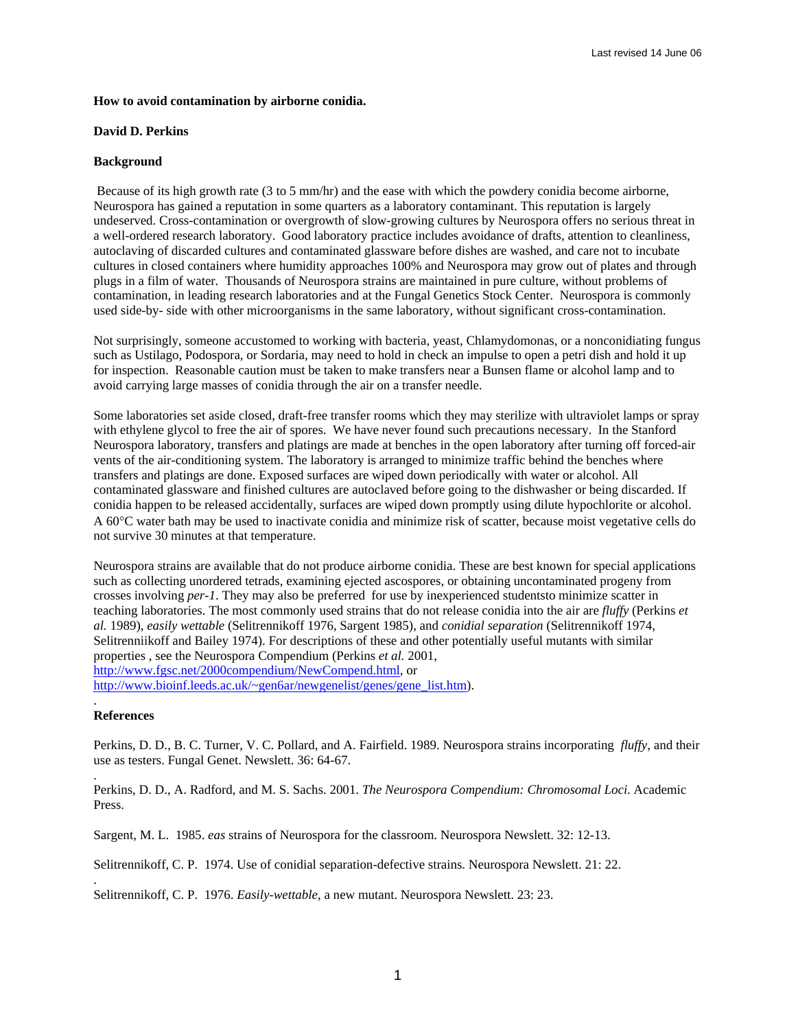## **How to avoid contamination by airborne conidia.**

## **David D. Perkins**

## **Background**

Because of its high growth rate (3 to 5 mm/hr) and the ease with which the powdery conidia become airborne, Neurospora has gained a reputation in some quarters as a laboratory contaminant. This reputation is largely undeserved. Cross-contamination or overgrowth of slow-growing cultures by Neurospora offers no serious threat in a well-ordered research laboratory. Good laboratory practice includes avoidance of drafts, attention to cleanliness, autoclaving of discarded cultures and contaminated glassware before dishes are washed, and care not to incubate cultures in closed containers where humidity approaches 100% and Neurospora may grow out of plates and through plugs in a film of water. Thousands of Neurospora strains are maintained in pure culture, without problems of contamination, in leading research laboratories and at the Fungal Genetics Stock Center. Neurospora is commonly used side-by- side with other microorganisms in the same laboratory, without significant cross-contamination.

Not surprisingly, someone accustomed to working with bacteria, yeast, Chlamydomonas, or a nonconidiating fungus such as Ustilago, Podospora, or Sordaria, may need to hold in check an impulse to open a petri dish and hold it up for inspection. Reasonable caution must be taken to make transfers near a Bunsen flame or alcohol lamp and to avoid carrying large masses of conidia through the air on a transfer needle.

Some laboratories set aside closed, draft-free transfer rooms which they may sterilize with ultraviolet lamps or spray with ethylene glycol to free the air of spores. We have never found such precautions necessary. In the Stanford Neurospora laboratory, transfers and platings are made at benches in the open laboratory after turning off forced-air vents of the air-conditioning system. The laboratory is arranged to minimize traffic behind the benches where transfers and platings are done. Exposed surfaces are wiped down periodically with water or alcohol. All contaminated glassware and finished cultures are autoclaved before going to the dishwasher or being discarded. If conidia happen to be released accidentally, surfaces are wiped down promptly using dilute hypochlorite or alcohol. A 60°C water bath may be used to inactivate conidia and minimize risk of scatter, because moist vegetative cells do not survive 30 minutes at that temperature.

Neurospora strains are available that do not produce airborne conidia. These are best known for special applications such as collecting unordered tetrads, examining ejected ascospores, or obtaining uncontaminated progeny from crosses involving *per-1*. They may also be preferred for use by inexperienced studentsto minimize scatter in teaching laboratories. The most commonly used strains that do not release conidia into the air are *fluffy* (Perkins *et al.* 1989), *easily wettable* (Selitrennikoff 1976, Sargent 1985), and *conidial separation* (Selitrennikoff 1974, Selitrenniikoff and Bailey 1974). For descriptions of these and other potentially useful mutants with similar properties , see the Neurospora Compendium (Perkins *et al.* 2001, [http://www.fgsc.net/2000compendium/NewCompend.html,](http://www.fgsc.net/2000compendium/NewCompend.html) or [http://www.bioinf.leeds.ac.uk/~gen6ar/newgenelist/genes/gene\\_list.htm](http://www.bioinf.leeds.ac.uk/~gen6ar/newgenelist/genes/gene_list.htm)).

## . **References**

.

.

Perkins, D. D., B. C. Turner, V. C. Pollard, and A. Fairfield. 1989. Neurospora strains incorporating *fluffy*, and their use as testers. Fungal Genet. Newslett. 36: 64-67.

Perkins, D. D., A. Radford, and M. S. Sachs. 2001. *The Neurospora Compendium: Chromosomal Loci*. Academic Press.

Sargent, M. L. 1985. *eas* strains of Neurospora for the classroom. Neurospora Newslett. 32: 12-13.

Selitrennikoff, C. P. 1974. Use of conidial separation-defective strains. Neurospora Newslett. 21: 22.

Selitrennikoff, C. P. 1976. *Easily-wettable*, a new mutant. Neurospora Newslett. 23: 23.